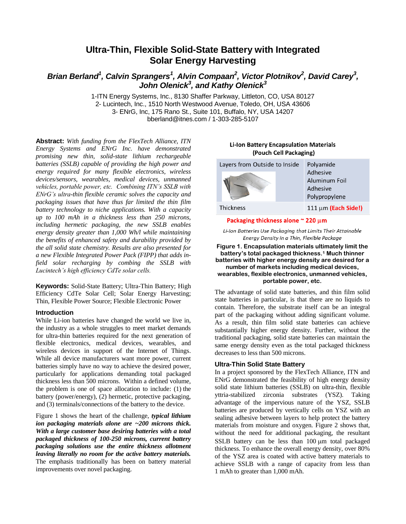# **Ultra-Thin, Flexible Solid-State Battery with Integrated Solar Energy Harvesting**

## Brian Berland<sup>1</sup>, Calvin Sprangers<sup>1</sup>, Alvin Compaan<sup>2</sup>, Victor Plotnikov<sup>2</sup>, David Carey<sup>3</sup>, *John Olenick<sup>3</sup> , and Kathy Olenick<sup>3</sup>*

1-ITN Energy Systems, Inc., 8130 Shaffer Parkway, Littleton, CO, USA 80127 2- Lucintech, Inc., 1510 North Westwood Avenue, Toledo, OH, USA 43606 3- ENrG, Inc, 175 Rano St., Suite 101, Buffalo, NY, USA 14207 [bberland@itnes.com](mailto:bberland@itnes.com) / 1-303-285-5107

**Abstract:** *With funding from the FlexTech Alliance, ITN Energy Systems and ENrG Inc. have demonstrated promising new thin, solid-state lithium rechargeable batteries (SSLB) capable of providing the high power and energy required for many flexible electronics, wireless devices/sensors, wearables, medical devices, unmanned vehicles, portable power, etc. Combining ITN's SSLB with ENrG's ultra-thin flexible ceramic solves the capacity and packaging issues that have thus far limited the thin film battery technology to niche applications. With a capacity up to 100 mAh in a thickness less than 250 microns, including hermetic packaging, the new SSLB enables energy density greater than 1,000 Wh/l while maintaining the benefits of enhanced safety and durability provided by the all solid state chemistry. Results are also presented for a new Flexible Integrated Power Pack (FIPP) that adds infield solar recharging by combing the SSLB with Lucintech's high efficiency CdTe solar cells.*

**Keywords:** Solid-State Battery; Ultra-Thin Battery; High Efficiency CdTe Solar Cell; Solar Energy Harvesting; Thin, Flexible Power Source; Flexible Electronic Power

### **Introduction**

While Li-ion batteries have changed the world we live in, the industry as a whole struggles to meet market demands for ultra-thin batteries required for the next generation of flexible electronics, medical devices, wearables, and wireless devices in support of the Internet of Things. While all device manufacturers want more power, current batteries simply have no way to achieve the desired power, particularly for applications demanding total packaged thickness less than 500 microns. Within a defined volume, the problem is one of space allocation to include: (1) the battery (power/energy), (2) hermetic, protective packaging, and (3) terminals/connections of the battery to the device.

[Figure 1](#page-0-0) shows the heart of the challenge, *typical lithium ion packaging materials alone are ~200 microns thick. With a large customer base desiring batteries with a total packaged thickness of 100-250 microns, current battery packaging solutions use the entire thickness allotment leaving literally no room for the active battery materials.*  The emphasis traditionally has been on battery material improvements over novel packaging.

## **Li-Ion Battery Encapsulation Materials** (Pouch Cell Packaging)

| Layers from Outside to Inside | Polyamide                |
|-------------------------------|--------------------------|
|                               | Adhesive                 |
|                               | Aluminum Foil            |
|                               | Adhesive                 |
|                               | Polypropylene            |
| Thickness                     | $111 \mu m$ (Each Side!) |

#### Packaging thickness alone ~ 220 µm

Li-Ion Batteries Use Packaaina that Limits Their Attainable Energy Density in a Thin, Flexible Package

<span id="page-0-0"></span>**Figure 1. Encapsulation materials ultimately limit the battery's total packaged thickness.<sup>1</sup> Much thinner batteries with higher energy density are desired for a number of markets including medical devices, wearables, flexible electronics, unmanned vehicles, portable power, etc.**

The advantage of solid state batteries, and thin film solid state batteries in particular, is that there are no liquids to contain. Therefore, the substrate itself can be an integral part of the packaging without adding significant volume. As a result, thin film solid state batteries can achieve substantially higher energy density. Further, without the traditional packaging, solid state batteries can maintain the same energy density even as the total packaged thickness decreases to less than 500 microns.

## **Ultra-Thin Solid State Battery**

In a project sponsored by the FlexTech Alliance, ITN and ENrG demonstrated the feasibility of high energy density solid state lithium batteries (SSLB) on ultra-thin, flexible yttria-stabilized zirconia substrates (YSZ). Taking advantage of the impervious nature of the YSZ, SSLB batteries are produced by vertically cells on YSZ with an sealing adhesive between layers to help protect the battery materials from moisture and oxygen. [Figure 2](#page-1-0) shows that, without the need for additional packaging, the resultant SSLB battery can be less than 100 um total packaged thickness. To enhance the overall energy density, over 80% of the YSZ area is coated with active battery materials to achieve SSLB with a range of capacity from less than 1 mAh to greater than 1,000 mAh.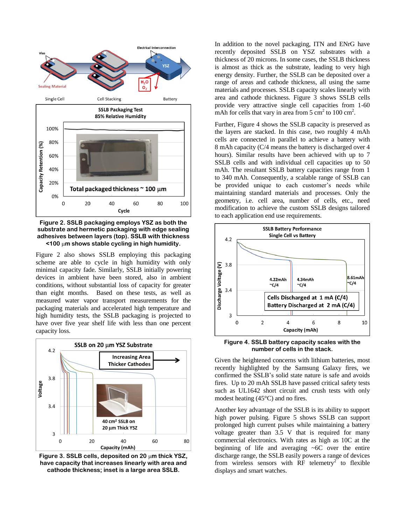

<span id="page-1-0"></span>**Figure 2. SSLB packaging employs YSZ as both the substrate and hermetic packaging with edge sealing adhesives between layers (top). SSLB with thickness <100 m shows stable cycling in high humidity.** 

[Figure 2](#page-1-0) also shows SSLB employing this packaging scheme are able to cycle in high humidity with only minimal capacity fade. Similarly, SSLB initially powering devices in ambient have been stored, also in ambient conditions, without substantial loss of capacity for greater than eight months. Based on these tests, as well as measured water vapor transport measurements for the packaging materials and accelerated high temperature and high humidity tests, the SSLB packaging is projected to have over five year shelf life with less than one percent capacity loss.



<span id="page-1-1"></span>**Figure 3. SSLB cells, deposited on 20 m thick YSZ, have capacity that increases linearly with area and cathode thickness; inset is a large area SSLB.**

In addition to the novel packaging, ITN and ENrG have recently deposited SSLB on YSZ substrates with a thickness of 20 microns. In some cases, the SSLB thickness is almost as thick as the substrate, leading to very high energy density. Further, the SSLB can be deposited over a range of areas and cathode thickness, all using the same materials and processes. SSLB capacity scales linearly with area and cathode thickness. [Figure 3](#page-1-1) shows SSLB cells provide very attractive single cell capacities from 1-60 mAh for cells that vary in area from  $5 \text{ cm}^2$  to  $100 \text{ cm}^2$ .

Further, [Figure 4](#page-1-2) shows the SSLB capacity is preserved as the layers are stacked. In this case, two roughly 4 mAh cells are connected in parallel to achieve a battery with 8 mAh capacity (C/4 means the battery is discharged over 4 hours). Similar results have been achieved with up to 7 SSLB cells and with individual cell capacities up to 50 mAh. The resultant SSLB battery capacities range from 1 to 340 mAh. Consequently, a scalable range of SSLB can be provided unique to each customer's needs while maintaining standard materials and processes. Only the geometry, i.e. cell area, number of cells, etc., need modification to achieve the custom SSLB designs tailored to each application end use requirements.



<span id="page-1-2"></span>**Figure 4. SSLB battery capacity scales with the number of cells in the stack.**

Given the heightened concerns with lithium batteries, most recently highlighted by the Samsung Galaxy fires, we confirmed the SSLB's solid state nature is safe and avoids fires. Up to 20 mAh SSLB have passed critical safety tests such as UL1642 short circuit and crush tests with only modest heating (45°C) and no fires.

Another key advantage of the SSLB is its ability to support high power pulsing. [Figure 5](#page-2-0) shows SSLB can support prolonged high current pulses while maintaining a battery voltage greater than 3.5 V that is required for many commercial electronics. With rates as high as 10C at the beginning of life and averaging ~6C over the entire discharge range, the SSLB easily powers a range of devices from wireless sensors with  $\overrightarrow{RF}$  telemetry<sup>2</sup> to flexible displays and smart watches.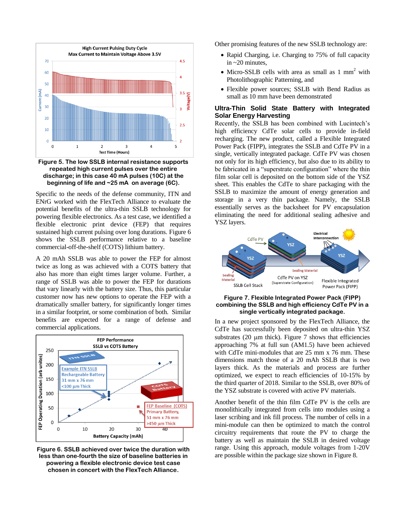

<span id="page-2-0"></span>**Figure 5. The low SSLB internal resistance supports repeated high current pulses over the entire discharge; in this case 40 mA pulses (10C) at the beginning of life and ~25 mA on average (6C).**

Specific to the needs of the defense community, ITN and ENrG worked with the FlexTech Alliance to evaluate the potential benefits of the ultra-thin SSLB technology for powering flexible electronics. As a test case, we identified a flexible electronic print device (FEP) that requires sustained high current pulsing over long durations. [Figure 6](#page-2-1) shows the SSLB performance relative to a baseline commercial-off-the-shelf (COTS) lithium battery.

A 20 mAh SSLB was able to power the FEP for almost twice as long as was achieved with a COTS battery that also has more than eight times larger volume. Further, a range of SSLB was able to power the FEP for durations that vary linearly with the battery size. Thus, this particular customer now has new options to operate the FEP with a dramatically smaller battery, for significantly longer times in a similar footprint, or some combination of both. Similar benefits are expected for a range of defense and commercial applications.



<span id="page-2-1"></span>**Figure 6. SSLB achieved over twice the duration with less than one-fourth the size of baseline batteries in powering a flexible electronic device test case chosen in concert with the FlexTech Alliance.**

Other promising features of the new SSLB technology are:

- Rapid Charging, i.e. Charging to 75% of full capacity in ~20 minutes,
- Micro-SSLB cells with area as small as 1 mm<sup>2</sup> with Photolithographic Patterning, and
- Flexible power sources; SSLB with Bend Radius as small as 10 mm have been demonstrated

## **Ultra-Thin Solid State Battery with Integrated Solar Energy Harvesting**

Recently, the SSLB has been combined with Lucintech's high efficiency CdTe solar cells to provide in-field recharging. The new product, called a Flexible Integrated Power Pack (FIPP), integrates the SSLB and CdTe PV in a single, vertically integrated package. CdTe PV was chosen not only for its high efficiency, but also due to its ability to be fabricated in a "superstrate configuration" where the thin film solar cell is deposited on the bottom side of the YSZ sheet. This enables the CdTe to share packaging with the SSLB to maximize the amount of energy generation and storage in a very thin package. Namely, the SSLB essentially serves as the backsheet for PV encapsulation eliminating the need for additional sealing adhesive and YSZ layers.



#### <span id="page-2-2"></span>**Figure 7. Flexible Integrated Power Pack (FIPP) combining the SSLB and high efficiency CdTe PV in a single vertically integrated package.**

In a new project sponsored by the FlexTech Alliance, the CdTe has successfully been deposited on ultra-thin YSZ substrates  $(20 \mu m)$  thick). [Figure 7](#page-2-2) shows that efficiencies approaching 7% at full sun (AM1.5) have been achieved with CdTe mini-modules that are 25 mm x 76 mm. These dimensions match those of a 20 mAh SSLB that is two layers thick. As the materials and process are further optimized, we expect to reach efficiencies of 10-15% by the third quarter of 2018. Similar to the SSLB, over 80% of the YSZ substrate is covered with active PV materials.

Another benefit of the thin film CdTe PV is the cells are monolithically integrated from cells into modules using a laser scribing and ink fill process. The number of cells in a mini-module can then be optimized to match the control circuitry requirements that route the PV to charge the battery as well as maintain the SSLB in desired voltage range. Using this approach, module voltages from 1-20V are possible within the package size shown i[n Figure 8.](#page-3-0)